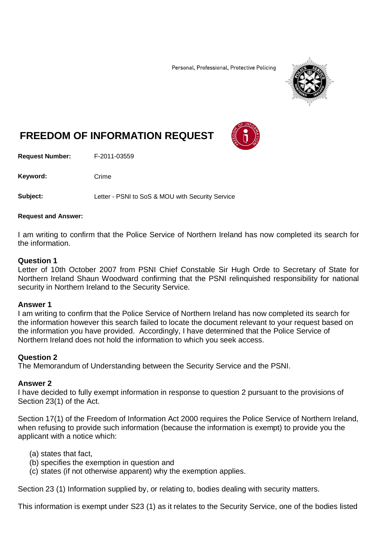Personal, Professional, Protective Policing



# **FREEDOM OF INFORMATION REQUEST**

**Request Number:** F-2011-03559

Keyword: Crime

**Subject:** Letter - PSNI to SoS & MOU with Security Service

### **Request and Answer:**

I am writing to confirm that the Police Service of Northern Ireland has now completed its search for the information.

## **Question 1**

Letter of 10th October 2007 from PSNI Chief Constable Sir Hugh Orde to Secretary of State for Northern Ireland Shaun Woodward confirming that the PSNI relinquished responsibility for national security in Northern Ireland to the Security Service.

## **Answer 1**

I am writing to confirm that the Police Service of Northern Ireland has now completed its search for the information however this search failed to locate the document relevant to your request based on the information you have provided. Accordingly, I have determined that the Police Service of Northern Ireland does not hold the information to which you seek access.

## **Question 2**

The Memorandum of Understanding between the Security Service and the PSNI.

## **Answer 2**

I have decided to fully exempt information in response to question 2 pursuant to the provisions of Section 23(1) of the Act.

Section 17(1) of the Freedom of Information Act 2000 requires the Police Service of Northern Ireland, when refusing to provide such information (because the information is exempt) to provide you the applicant with a notice which:

- (a) states that fact,
- (b) specifies the exemption in question and
- (c) states (if not otherwise apparent) why the exemption applies.

Section 23 (1) Information supplied by, or relating to, bodies dealing with security matters.

This information is exempt under S23 (1) as it relates to the Security Service, one of the bodies listed